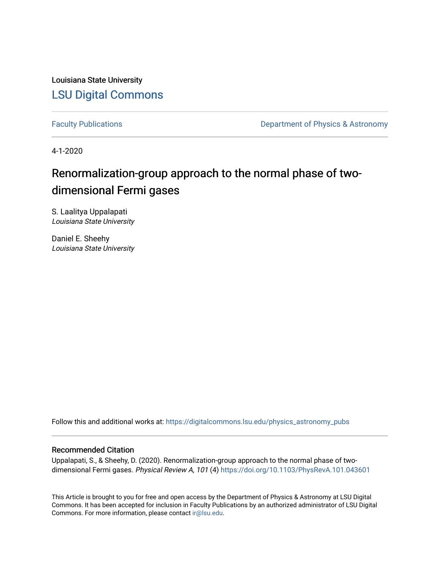Louisiana State University [LSU Digital Commons](https://digitalcommons.lsu.edu/)

[Faculty Publications](https://digitalcommons.lsu.edu/physics_astronomy_pubs) **Exercise 2 and Table 2 and Table 2 and Table 2 and Table 2 and Table 2 and Table 2 and Table 2 and Table 2 and Table 2 and Table 2 and Table 2 and Table 2 and Table 2 and Table 2 and Table 2 and Table** 

4-1-2020

## Renormalization-group approach to the normal phase of twodimensional Fermi gases

S. Laalitya Uppalapati Louisiana State University

Daniel E. Sheehy Louisiana State University

Follow this and additional works at: [https://digitalcommons.lsu.edu/physics\\_astronomy\\_pubs](https://digitalcommons.lsu.edu/physics_astronomy_pubs?utm_source=digitalcommons.lsu.edu%2Fphysics_astronomy_pubs%2F4970&utm_medium=PDF&utm_campaign=PDFCoverPages) 

### Recommended Citation

Uppalapati, S., & Sheehy, D. (2020). Renormalization-group approach to the normal phase of twodimensional Fermi gases. Physical Review A, 101 (4)<https://doi.org/10.1103/PhysRevA.101.043601>

This Article is brought to you for free and open access by the Department of Physics & Astronomy at LSU Digital Commons. It has been accepted for inclusion in Faculty Publications by an authorized administrator of LSU Digital Commons. For more information, please contact [ir@lsu.edu](mailto:ir@lsu.edu).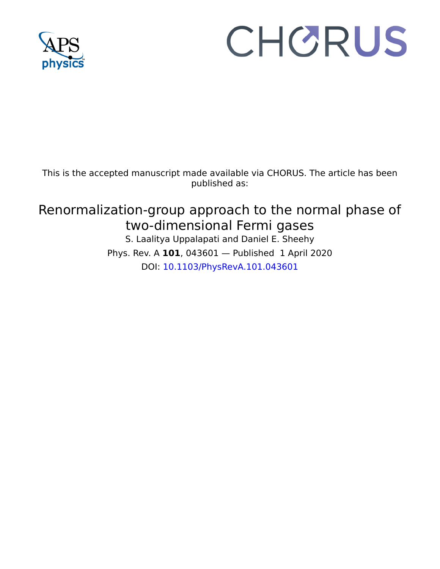

# CHORUS

This is the accepted manuscript made available via CHORUS. The article has been published as:

## Renormalization-group approach to the normal phase of two-dimensional Fermi gases

S. Laalitya Uppalapati and Daniel E. Sheehy Phys. Rev. A **101**, 043601 — Published 1 April 2020 DOI: [10.1103/PhysRevA.101.043601](http://dx.doi.org/10.1103/PhysRevA.101.043601)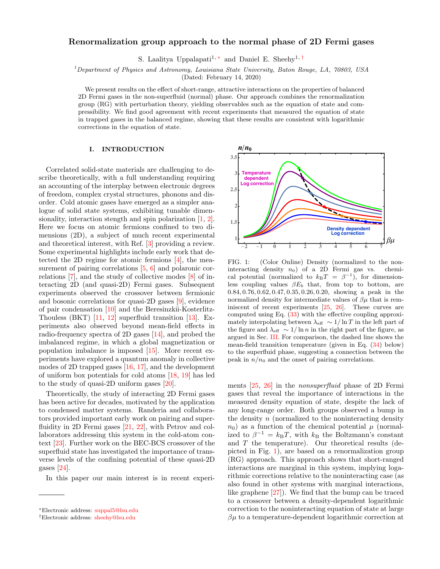#### Renormalization group approach to the normal phase of 2D Fermi gases

S. Laalitya Uppalapati<sup>1,\*</sup> and Daniel E. Sheehy<sup>1,[†](#page-2-1)</sup>

 $1$ Department of Physics and Astronomy, Louisiana State University, Baton Rouge, LA, 70803, USA

(Dated: February 14, 2020)

We present results on the effect of short-range, attractive interactions on the properties of balanced 2D Fermi gases in the non-superfluid (normal) phase. Our approach combines the renormalization group (RG) with perturbation theory, yielding observables such as the equation of state and compressibility. We find good agreement with recent experiments that measured the equation of state in trapped gases in the balanced regime, showing that these results are consistent with logarithmic corrections in the equation of state.

#### I. INTRODUCTION

Correlated solid-state materials are challenging to describe theoretically, with a full understanding requiring an accounting of the interplay between electronic degrees of freedom, complex crystal structures, phonons and disorder. Cold atomic gases have emerged as a simpler analogue of solid state systems, exhibiting tunable dimensionality, interaction stength and spin polarization [\[1,](#page-8-0) [2\]](#page-8-1). Here we focus on atomic fermions confined to two dimensions (2D), a subject of much recent experimental and theoretical interest, with Ref. [\[3\]](#page-8-2) providing a review. Some experimental highlights include early work that detected the 2D regime for atomic fermions [\[4\]](#page-8-3), the mea-surement of pairing correlations [\[5,](#page-8-4) [6\]](#page-8-5) and polaronic correlations [\[7\]](#page-8-6), and the study of collective modes [\[8\]](#page-8-7) of interacting 2D (and quasi-2D) Fermi gases. Subsequent experiments observed the crossover between fermionic and bosonic correlations for quasi-2D gases [\[9\]](#page-8-8), evidence of pair condensation [\[10\]](#page-8-9) and the Beresinzkii-Kosterlitz-Thouless (BKT) [\[11,](#page-8-10) [12\]](#page-8-11) superfluid transition [\[13\]](#page-8-12). Experiments also observed beyond mean-field effects in radio-frequency spectra of 2D gases [\[14\]](#page-8-13), and probed the imbalanced regime, in which a global magnetization or population imbalance is imposed [\[15\]](#page-8-14). More recent experiments have explored a quantum anomaly in collective modes of 2D trapped gases [\[16,](#page-8-15) [17\]](#page-8-16), and the development of uniform box potentials for cold atoms [\[18,](#page-8-17) [19\]](#page-8-18) has led to the study of quasi-2D uniform gases [\[20\]](#page-8-19).

Theoretically, the study of interacting 2D Fermi gases has been active for decades, motivated by the application to condensed matter systems. Randeria and collaborators provided important early work on pairing and superfluidity in 2D Fermi gases [\[21,](#page-8-20) [22\]](#page-8-21), with Petrov and collaborators addressing this system in the cold-atom context [\[23\]](#page-8-22). Further work on the BEC-BCS crossover of the superfluid state has investigated the importance of transverse levels of the confining potential of these quasi-2D gases [\[24\]](#page-8-23).

In this paper our main interest is in recent experi-



<span id="page-2-2"></span>FIG. 1: (Color Online) Density (normalized to the noninteracting density  $n_0$ ) of a 2D Fermi gas vs. chemical potential (normalized to  $k_BT = \beta^{-1}$ ), for dimensionless coupling values  $\beta E_b$  that, from top to bottom, are 0.84, 0.76, 0.62, 0.47, 0.35, 0.26, 0.20, showing a peak in the normalized density for intermediate values of  $\beta\mu$  that is rem-iniscent of recent experiments [\[25,](#page-8-24) [26\]](#page-8-25). These curves are computed using Eq. [\(33\)](#page-6-0) with the effective coupling approximately interpolating between  $\lambda_{\text{eff}} \sim 1/\ln T$  in the left part of the figure and  $\lambda_{\text{eff}} \sim 1/\ln n$  in the right part of the figure, as argued in Sec. [III.](#page-3-0) For comparison, the dashed line shows the mean-field transition temperature (given in Eq. [\(34\)](#page-6-1) below) to the superfluid phase, suggesting a connection between the peak in  $n/n_0$  and the onset of pairing correlations.

ments [\[25,](#page-8-24) [26\]](#page-8-25) in the nonsuperfluid phase of 2D Fermi gases that reveal the importance of interactions in the measured density equation of state, despite the lack of any long-range order. Both groups observed a bump in the density  $n$  (normalized to the noninteracting density  $n_0$ ) as a function of the chemical potential  $\mu$  (normalized to  $\beta^{-1} = k_B T$ , with  $k_B$  the Boltzmann's constant and  $T$  the temperature). Our theoretical results (depicted in Fig. [1\)](#page-2-2), are based on a renormalization group (RG) approach. This approach shows that short-ranged interactions are marginal in this system, implying logarithmic corrections relative to the noninteracting case (as also found in other systems with marginal interactions, like graphene [\[27\]](#page-8-26)). We find that the bump can be traced to a crossover between a density-dependent logarithmic correction to the noninteracting equation of state at large  $\beta\mu$  to a temperature-dependent logarithmic correction at

<span id="page-2-0"></span><sup>∗</sup>Electronic address: [suppal5@lsu.edu](mailto:suppal5@lsu.edu)

<span id="page-2-1"></span><sup>†</sup>Electronic address: [sheehy@lsu.edu](mailto:sheehy@lsu.edu)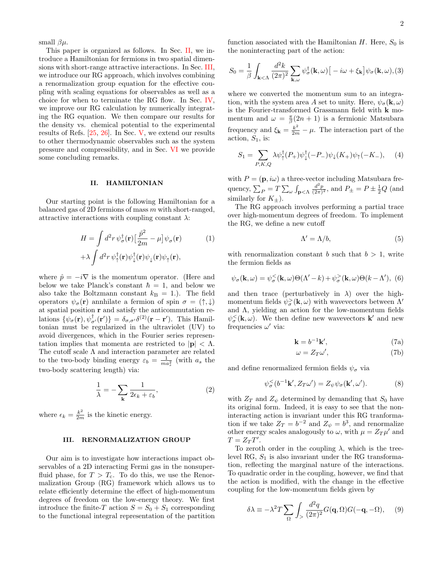small  $\beta\mu$ .

This paper is organized as follows. In Sec. [II,](#page-3-1) we introduce a Hamiltonian for fermions in two spatial dimensions with short-range attractive interactions. In Sec. [III,](#page-3-0) we introduce our RG approach, which involves combining a renormalization group equation for the effective coupling with scaling equations for observables as well as a choice for when to terminate the RG flow. In Sec. [IV,](#page-5-0) we improve our RG calculation by numerically integrating the RG equation. We then compare our results for the density vs. chemical potential to the experimental results of Refs. [\[25,](#page-8-24) [26\]](#page-8-25). In Sec. [V,](#page-7-0) we extend our results to other thermodynamic observables such as the system pressure and compressibility, and in Sec. [VI](#page-8-27) we provide some concluding remarks.

#### <span id="page-3-1"></span>II. HAMILTONIAN

Our starting point is the following Hamiltonian for a balanced gas of 2D fermions of mass  $m$  with short-ranged, attractive interactions with coupling constant  $\lambda$ :

$$
H = \int d^2r \, \psi_{\sigma}^{\dagger}(\mathbf{r}) \left[\frac{\hat{p}^2}{2m} - \mu\right] \psi_{\sigma}(\mathbf{r}) \tag{1}
$$

$$
+ \lambda \int d^2r \, \psi_{\uparrow}^{\dagger}(\mathbf{r}) \psi_{\downarrow}^{\dagger}(\mathbf{r}) \psi_{\downarrow}(\mathbf{r}) \psi_{\uparrow}(\mathbf{r}),
$$

where  $\hat{p} = -i\nabla$  is the momentum operator. (Here and below we take Planck's constant  $\hbar = 1$ , and below we also take the Boltzmann constant  $k_B = 1$ . The field operators  $\psi_{\sigma}(\mathbf{r})$  annhilate a fermion of spin  $\sigma = (\uparrow, \downarrow)$ at spatial position r and satisfy the anticommutation relations  $\{\psi_{\sigma}(\mathbf{r}), \psi_{\sigma'}^{\dagger}(\mathbf{r'})\} = \delta_{\sigma,\sigma'}\delta^{(2)}(\mathbf{r}-\mathbf{r}')$ . This Hamiltonian must be regularized in the ultraviolet (UV) to avoid divergences, which in the Fourier series representation implies that momenta are restricted to  $|\mathbf{p}| < \Lambda$ . The cutoff scale  $\Lambda$  and interaction parameter are related to the two-body binding energy  $\varepsilon_b = \frac{1}{m a_s^2}$  (with  $a_s$  the two-body scattering length) via:

<span id="page-3-5"></span>
$$
\frac{1}{\lambda} = -\sum_{\mathbf{k}} \frac{1}{2\epsilon_k + \epsilon_b},\tag{2}
$$

where  $\epsilon_k = \frac{k^2}{2m}$  is the kinetic energy.

#### <span id="page-3-0"></span>III. RENORMALIZATION GROUP

Our aim is to investigate how interactions impact observables of a 2D interacting Fermi gas in the nonsuperfluid phase, for  $T > T_c$ . To do this, we use the Renormalization Group (RG) framework which allows us to relate efficiently determine the effect of high-momentum degrees of freedom on the low-energy theory. We first introduce the finite-T action  $S = S_0 + S_1$  corresponding to the functional integral representation of the partition

function associated with the Hamiltonian  $H$ . Here,  $S_0$  is the noninteracting part of the action:

$$
S_0 = \frac{1}{\beta} \int_{\mathbf{k} < \Lambda} \frac{d^2 k}{(2\pi)^2} \sum_{\mathbf{k}, \omega} \psi_{\sigma}^{\dagger}(\mathbf{k}, \omega) \left[ -i\omega + \xi_{\mathbf{k}} \right] \psi_{\sigma}(\mathbf{k}, \omega), (3)
$$

where we converted the momentum sum to an integration, with the system area A set to unity. Here,  $\psi_{\sigma}({\bf k}, \omega)$ is the Fourier-transformed Grassmann field with k momentum and  $\omega = \frac{\pi}{\beta}(2n + 1)$  is a fermionic Matsubara frequency and  $\xi_{\mathbf{k}} = \frac{k^2}{2m} - \mu$ . The interaction part of the action,  $S_1$ , is:

<span id="page-3-2"></span>
$$
S_1 = \sum_{P,K,Q} \lambda \psi_{\uparrow}^{\dagger} (P_+) \psi_{\downarrow}^{\dagger} (-P_-) \psi_{\downarrow} (K_+) \psi_{\uparrow} (-K_-), \quad (4)
$$

with  $P = (\mathbf{p}, i\omega)$  a three-vector including Matsubara frequency,  $\sum_P = T \sum_{\omega} \int_{\mathbf{p} \leq \Lambda} \frac{d^2 p}{(2\pi)^2}$ , and  $P_{\pm} = P \pm \frac{1}{2} Q$  (and similarly for  $K_{\pm}$ ).

The RG approach involves performing a partial trace over high-momentum degrees of freedom. To implement the RG, we define a new cutoff

$$
\Lambda' = \Lambda/b,\tag{5}
$$

with renormalization constant b such that  $b > 1$ , write the fermion fields as

$$
\psi_{\sigma}(\mathbf{k},\omega) = \psi_{\sigma}^{<}(\mathbf{k},\omega)\Theta(\Lambda'-k) + \psi_{\sigma}^{>}(\mathbf{k},\omega)\Theta(k-\Lambda'),
$$
 (6)

and then trace (perturbatively in  $\lambda$ ) over the highmomentum fields  $\psi_{\sigma}^{>}(\mathbf{k}, \omega)$  with wavevectors between  $\Lambda'$ and  $\Lambda$ , yielding an action for the low-momentum fields  $\psi_{\sigma}^{\langle\mathbf{K},\omega\rangle}$ . We then define new wavevectors **k**' and new frequencies  $\omega'$  via:

<span id="page-3-3"></span>
$$
\mathbf{k} = b^{-1}\mathbf{k}',\tag{7a}
$$

$$
\omega = Z_T \omega',\tag{7b}
$$

and define renormalized fermion fields  $\psi_{\sigma}$  via

<span id="page-3-6"></span>
$$
\psi_{\sigma}^{<}(b^{-1}\mathbf{k}', Z_{T}\omega') = Z_{\psi}\psi_{\sigma}(\mathbf{k}', \omega'). \tag{8}
$$

with  $Z_T$  and  $Z_{\psi}$  determined by demanding that  $S_0$  have its original form. Indeed, it is easy to see that the noninteracting action is invariant under this RG tranformation if we take  $Z_T = b^{-2}$  and  $Z_{\psi} = b^3$ , and renormalize other energy scales analogously to  $\omega$ , with  $\mu = Z_T \mu'$  and  $T = Z_T T'.$ 

To zeroth order in the coupling  $\lambda$ , which is the treelevel RG,  $S_1$  is also invariant under the RG transformation, reflecting the marginal nature of the interactions. To quadratic order in the coupling, however, we find that the action is modified, with the change in the effective coupling for the low-momentum fields given by

<span id="page-3-4"></span>
$$
\delta \lambda \equiv -\lambda^2 T \sum_{\Omega} \int_{\geq} \frac{d^2 q}{(2\pi)^2} G(\mathbf{q}, \Omega) G(-\mathbf{q}, -\Omega), \quad (9)
$$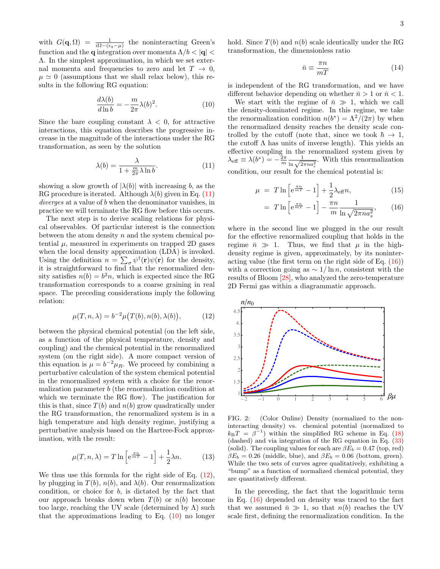with  $G(\mathbf{q},\Omega) = \frac{1}{i\Omega - (\epsilon_q - \mu)}$  the noninteracting Green's function and the **q** integration over momenta  $\Lambda/b < |\mathbf{q}|$ Λ. In the simplest approximation, in which we set external momenta and frequencies to zero and let  $T \to 0$ ,  $\mu \simeq 0$  (assumptions that we shall relax below), this results in the following RG equation:

<span id="page-4-2"></span>
$$
\frac{d\lambda(b)}{d\ln b} = -\frac{m}{2\pi}\lambda(b)^2.
$$
 (10)

Since the bare coupling constant  $\lambda < 0$ , for attractive interactions, this equation describes the progressive increase in the magnitude of the interactions under the RG transformation, as seen by the solution

<span id="page-4-0"></span>
$$
\lambda(b) = \frac{\lambda}{1 + \frac{m}{2\pi}\lambda \ln b}.\tag{11}
$$

showing a slow growth of  $|\lambda(b)|$  with increasing b, as the RG procedure is iterated. Although  $\lambda(b)$  given in Eq. [\(11\)](#page-4-0) diverges at a value of b when the denominator vanishes, in practice we will terminate the RG flow before this occurs.

The next step is to derive scaling relations for physical observables. Of particular interest is the connection between the atom density  $n$  and the system chemical potential  $\mu$ , measured in experiments on trapped 2D gases when the local density approximation (LDA) is invoked. Using the definition  $n = \sum_{\sigma} \psi^{\dagger}(\mathbf{r}) \psi(\mathbf{r})$  for the density, it is straightforward to find that the renormalized density satisfies  $n(b) = b^2 n$ , which is expected since the RG transformation corresponds to a coarse graining in real space. The preceding considerations imply the following relation:

<span id="page-4-1"></span>
$$
\mu(T, n, \lambda) = b^{-2} \mu(T(b), n(b), \lambda(b)), \tag{12}
$$

between the physical chemical potential (on the left side, as a function of the physical temperature, density and coupling) and the chemical potential in the renormalized system (on the right side). A more compact version of this equation is  $\mu = b^{-2} \mu_R$ . We proceed by combining a perturbative calculation of the system chemical potential in the renormalized system with a choice for the renormalization parameter b (the renormalization condition at which we terminate the RG flow). The justification for this is that, since  $T(b)$  and  $n(b)$  grow quadratically under the RG transformation, the renormalized system is in a high temperature and high density regime, justifying a perturbative analysis based on the Hartree-Fock approximation, with the result:

$$
\mu(T, n, \lambda) = T \ln \left[ e^{\frac{\pi n}{mT}} - 1 \right] + \frac{1}{2} \lambda n. \tag{13}
$$

We thus use this formula for the right side of Eq.  $(12)$ , by plugging in  $T(b)$ ,  $n(b)$ , and  $\lambda(b)$ . Our renormalization condition, or choice for b, is dictated by the fact that our approach breaks down when  $T(b)$  or  $n(b)$  become too large, reaching the UV scale (determined by  $\Lambda$ ) such that the approximations leading to Eq.  $(10)$  no longer

hold. Since  $T(b)$  and  $n(b)$  scale identically under the RG transformation, the dimensionless ratio

<span id="page-4-5"></span>
$$
\bar{n} \equiv \frac{\pi n}{mT} \tag{14}
$$

is independent of the RG transformation, and we have different behavior depending on whether  $\bar{n} > 1$  or  $\bar{n} < 1$ .

We start with the regime of  $\bar{n} \gg 1$ , which we call the density-dominated regime. In this regime, we take the renormalization condition  $n(b^*) = \Lambda^2/(2\pi)$  by when the renormalized density reaches the density scale controlled by the cutoff (note that, since we took  $\hbar \rightarrow 1$ , the cutoff  $\Lambda$  has units of inverse length). This yields an effective coupling in the renormalized system given by  $\lambda_{\text{eff}} \equiv \lambda(b^*) = -\frac{2\pi}{m} \frac{1}{\ln \sqrt{2\pi n a_s^2}}$ . With this renormalization condition, our result for the chemical potential is:

<span id="page-4-3"></span>
$$
\mu = T \ln \left[ e^{\frac{\pi n}{mT}} - 1 \right] + \frac{1}{2} \lambda_{\text{eff}} n, \tag{15}
$$

$$
= T \ln \left[ e^{\frac{\pi n}{mT}} - 1 \right] - \frac{\pi n}{m} \frac{1}{\ln \sqrt{2\pi n a_s^2}}, \qquad (16)
$$

where in the second line we plugged in the our result for the effective renormalized coupling that holds in the regime  $\bar{n} \gg 1$ . Thus, we find that  $\mu$  in the highdensity regime is given, approximately, by its noninteracting value (the first term on the right side of Eq.  $(16)$ ) with a correction going as  $\sim 1/\ln n$ , consistent with the results of Bloom [\[28\]](#page-8-28), who analyzed the zero-temperature 2D Fermi gas within a diagrammatic approach.



<span id="page-4-4"></span>FIG. 2: (Color Online) Density (normalized to the noninteracting density) vs. chemical potential (normalized to  $k_{\rm B}T = \beta^{-1}$ ) within the simplified RG scheme in Eq. [\(18\)](#page-5-1) (dashed) and via integration of the RG equation in Eq. [\(33\)](#page-6-0) (solid). The coupling values for each are  $\beta E_b = 0.47$  (top, red)  $\beta E_b = 0.26$  (middle, blue), and  $\beta E_b = 0.06$  (bottom, green). While the two sets of curves agree qualitatively, exhibiting a "bump" as a function of normalized chemical potential, they are quantitatively different.

In the preceding, the fact that the logarithmic term in Eq. [\(16\)](#page-4-3) depended on density was traced to the fact that we assumed  $\bar{n} \gg 1$ , so that  $n(b)$  reaches the UV scale first, defining the renormalization condition. In the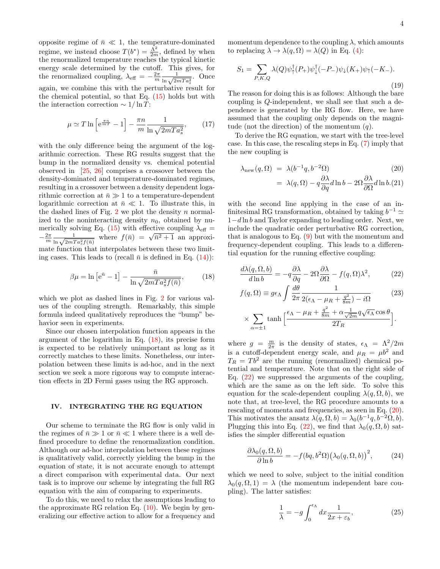opposite regime of  $\bar{n} \ll 1$ , the temperature-dominated regime, we instead choose  $T(b^*) = \frac{\Lambda^2}{2m}$ , defined by when the renormalized temperature reaches the typical kinetic energy scale determined by the cutoff. This gives, for the renormalized coupling,  $\lambda_{\text{eff}} = -\frac{2\pi}{m} \frac{1}{\ln \sqrt{2mTa_s^2}}$ . Once again, we combine this with the perturbative result for the chemical potential, so that Eq. [\(15\)](#page-4-3) holds but with the interaction correction  $\sim 1/\ln T$ :

$$
\mu \simeq T \ln \left[ e^{\frac{\pi n}{mT}} - 1 \right] - \frac{\pi n}{m} \frac{1}{\ln \sqrt{2mT a_s^2}},\tag{17}
$$

with the only difference being the argument of the logarithmic correction. These RG results suggest that the bump in the normalized density vs. chemical potential observed in [\[25,](#page-8-24) [26\]](#page-8-25) comprises a crossover between the density-dominated and temperature-dominated regimes, resulting in a crossover between a density dependent logarithmic correction at  $\bar{n} \gg 1$  to a temperature-dependent logarithmic correction at  $\bar{n} \ll 1$ . To illustrate this, in the dashed lines of Fig. [2](#page-4-4) we plot the density  $n$  normalized to the noninteracting density  $n_0$ , obtained by nu-merically solving Eq. [\(15\)](#page-4-3) with effective coupling  $\lambda_{\text{eff}} =$ mericany solving Eq. (15) with enective coupling  $\lambda_{\text{eff}} = -\frac{2\pi}{m} \frac{1}{\ln \sqrt{2mTa_s^2f(\bar{n})}}$  where  $f(\bar{n}) = \sqrt{\bar{n}^2 + 1}$  an approximate function that interpolates between these two limiting cases. This leads to (recall  $\bar{n}$  is defined in Eq. [\(14\)](#page-4-5)):

<span id="page-5-1"></span>
$$
\beta \mu = \ln \left[ e^{\bar{n}} - 1 \right] - \frac{\bar{n}}{\ln \sqrt{2mT a_s^2 f(\bar{n})}},\tag{18}
$$

which we plot as dashed lines in Fig. [2](#page-4-4) for various values of the coupling strength. Remarkably, this simple formula indeed qualitatively reproduces the "bump" behavior seen in experiments.

Since our chosen interpolation function appears in the argument of the logarithm in Eq. [\(18\)](#page-5-1), its precise form is expected to be relatively unimportant as long as it correctly matches to these limits. Nonetheless, our interpolation between these limits is ad-hoc, and in the next section we seek a more rigorous way to compute interaction effects in 2D Fermi gases using the RG approach.

#### <span id="page-5-0"></span>IV. INTEGRATING THE RG EQUATION

Our scheme to terminate the RG flow is only valid in the regimes of  $\bar{n} \gg 1$  or  $\bar{n} \ll 1$  where there is a well defined procedure to define the renormalization condition. Although our ad-hoc interpolation between these regimes is qualitatively valid, correctly yielding the bump in the equation of state, it is not accurate enough to attempt a direct comparison with experimental data. Our next task is to improve our scheme by integrating the full RG equation with the aim of comparing to experiments.

To do this, we need to relax the assumptions leading to the approximate RG relation Eq.  $(10)$ . We begin by generalizing our effective action to allow for a frequency and

momentum dependence to the coupling  $\lambda$ , which amounts to replacing  $\lambda \to \lambda(q,\Omega) = \lambda(Q)$  in Eq. [\(4\)](#page-3-2):

$$
S_1 = \sum_{P,K,Q} \lambda(Q)\psi_{\uparrow}^{\dagger}(P_+)\psi_{\downarrow}^{\dagger}(-P_-)\psi_{\downarrow}(K_+)\psi_{\uparrow}(-K_-). \tag{19}
$$

The reason for doing this is as follows: Although the bare coupling is Q-independent, we shall see that such a dependence is generated by the RG flow. Here, we have assumed that the coupling only depends on the magnitude (not the direction) of the momentum  $(q)$ .

To derive the RG equation, we start with the tree-level case. In this case, the rescaling steps in Eq. [\(7\)](#page-3-3) imply that the new coupling is

<span id="page-5-3"></span>
$$
\lambda_{\text{new}}(q,\Omega) = \lambda(b^{-1}q, b^{-2}\Omega) \tag{20}
$$

$$
= \lambda(q,\Omega) - q \frac{\partial \lambda}{\partial q} d\ln b - 2\Omega \frac{\partial \lambda}{\partial \Omega} d\ln b.(21)
$$

with the second line applying in the case of an infinitesimal RG transformation, obtained by taking  $b^{-1} \simeq$ 1−d ln b and Taylor expanding to leading order. Next, we include the quadratic order perturbative RG correction, that is analogous to Eq. [\(9\)](#page-3-4) but with the momentum and frequency-dependent coupling. This leads to a differential equation for the running effective coupling:

<span id="page-5-2"></span>
$$
\frac{d\lambda(q,\Omega,b)}{d\ln b} = -q\frac{\partial\lambda}{\partial q} - 2\Omega\frac{\partial\lambda}{\partial \Omega} - f(q,\Omega)\lambda^2,\tag{22}
$$

$$
f(q,\Omega) \equiv g\epsilon_{\Lambda} \int \frac{d\theta}{2\pi} \frac{1}{2(\epsilon_{\Lambda} - \mu_R + \frac{q^2}{8m}) - i\Omega} \qquad (23)
$$

$$
\times \sum_{\alpha = \pm 1} \tanh \left[ \frac{\epsilon_{\Lambda} - \mu_R + \frac{q^2}{8m} + \alpha \frac{1}{\sqrt{2m}} q \sqrt{\epsilon_{\Lambda}} \cos \theta}{2T_R} \right].
$$

where  $g = \frac{m}{2\pi}$  is the density of states,  $\epsilon_{\Lambda} = \Lambda^2/2m$ is a cutoff-dependent energy scale, and  $\mu_R = \mu b^2$  and  $T_R = Tb^2$  are the running (renormalized) chemical potential and temperature. Note that on the right side of Eq.  $(22)$  we suppressed the arguments of the coupling, which are the same as on the left side. To solve this equation for the scale-dependent coupling  $\lambda(q, \Omega, b)$ , we note that, at tree-level, the RG procedure amounts to a rescaling of momenta and frequencies, as seen in Eq. [\(20\)](#page-5-3). This motivates the ansatz  $\lambda(q, \Omega, b) = \lambda_0(b^{-1}q, b^{-2}\Omega, b)$ . Plugging this into Eq. [\(22\)](#page-5-2), we find that  $\lambda_0(q, \Omega, b)$  satisfies the simpler differential equation

<span id="page-5-4"></span>
$$
\frac{\partial \lambda_0(q,\Omega,b)}{\partial \ln b} = -f(bq,b^2\Omega)\big(\lambda_0(q,\Omega,b)\big)^2,\tag{24}
$$

which we need to solve, subject to the initial condition  $\lambda_0(q,\Omega,1) = \lambda$  (the momentum independent bare coupling). The latter satisfies:

<span id="page-5-5"></span>
$$
\frac{1}{\lambda} = -g \int_0^{\epsilon_{\Lambda}} dx \frac{1}{2x + \varepsilon_b},
$$
\n(25)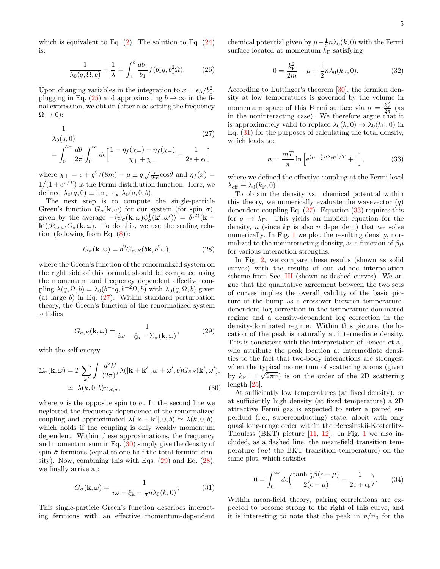which is equivalent to Eq.  $(2)$ . The solution to Eq.  $(24)$ is:

$$
\frac{1}{\lambda_0(q,\Omega,b)} - \frac{1}{\lambda} = \int_1^b \frac{db_1}{b_1} f(b_1q, b_1^2 \Omega). \tag{26}
$$

Upon changing variables in the integration to  $x = \epsilon_{\Lambda}/b_1^2$ , plugging in Eq. [\(25\)](#page-5-5) and approximating  $b \to \infty$  in the final expression, we obtain (after also setting the frequency  $\Omega \rightarrow 0$ :

<span id="page-6-2"></span>
$$
\frac{1}{\lambda_0(q,0)}
$$
\n
$$
= \int_0^{2\pi} \frac{d\theta}{2\pi} \int_0^{\infty} d\epsilon \left[ \frac{1 - \eta_f(\chi_+) - \eta_f(\chi_-)}{\chi_+ + \chi_-} - \frac{1}{2\epsilon + \epsilon_b} \right]
$$
\n(27)

where  $\chi_{\pm} = \epsilon + q^2/(8m) - \mu \pm q \sqrt{\frac{\epsilon}{2m}} \cos \theta$  and  $\eta_f(x) =$  $1/(1+e^{x/T})$  is the Fermi distribution function. Here, we defined  $\lambda_0(q, 0) \equiv \lim_{b \to \infty} \lambda_0(q, 0, b)$ .

The next step is to compute the single-particle Green's function  $G_{\sigma}(\mathbf{k}, \omega)$  for our system (for spin  $\sigma$ ), given by the average  $-\langle \psi_{\sigma}({\bf k},\omega)\psi_{\sigma}^{\dagger}({\bf k}',\omega')\rangle = \delta^{(2)}({\bf k} \mathbf{k}'$ ) $\beta \delta_{\omega,\omega'} G_{\sigma}(\mathbf{k},\omega)$ . To do this, we use the scaling relation (following from Eq.  $(8)$ ):

<span id="page-6-5"></span>
$$
G_{\sigma}(\mathbf{k}, \omega) = b^2 G_{\sigma, R}(b\mathbf{k}, b^2 \omega), \qquad (28)
$$

where the Green's function of the renormalized system on the right side of this formula should be computed using the momentum and frequency dependent effective coupling  $\lambda(q,\Omega,b) = \lambda_0(b^{-1}q, b^{-2}\Omega, b)$  with  $\lambda_0(q,\Omega,b)$  given (at large b) in Eq.  $(27)$ . Within standard perturbation theory, the Green's function of the renormalized system satisfies

<span id="page-6-4"></span>
$$
G_{\sigma,R}(\mathbf{k},\omega) = \frac{1}{i\omega - \xi_{\mathbf{k}} - \Sigma_{\sigma}(\mathbf{k},\omega)},
$$
 (29)

with the self energy

<span id="page-6-3"></span>
$$
\Sigma_{\sigma}(\mathbf{k}, \omega) = T \sum_{\omega'} \int \frac{d^2 k'}{(2\pi)^2} \lambda(|\mathbf{k} + \mathbf{k}'|, \omega + \omega', b) G_{\bar{\sigma}R}(\mathbf{k}', \omega'),
$$
  
 
$$
\simeq \lambda(k, 0, b) n_{R, \bar{\sigma}},
$$
 (30)

where  $\bar{\sigma}$  is the opposite spin to  $\sigma$ . In the second line we neglected the frequency dependence of the renormalized coupling and approximated  $\lambda(|\mathbf{k} + \mathbf{k}'|, 0, b) \simeq \lambda(k, 0, b),$ which holds if the coupling is only weakly momentum dependent. Within these approximations, the frequency and momentum sum in Eq.  $(30)$  simply give the density of spin- $\bar{\sigma}$  fermions (equal to one-half the total fermion density). Now, combining this with Eqs. [\(29\)](#page-6-4) and Eq. [\(28\)](#page-6-5), we finally arrive at:

<span id="page-6-6"></span>
$$
G_{\sigma}(\mathbf{k},\omega) = \frac{1}{i\omega - \xi_{\mathbf{k}} - \frac{1}{2}n\lambda_0(k,0)},
$$
(31)

This single-particle Green's function describes interacting fermions with an effective momentum-dependent

chemical potential given by  $\mu - \frac{1}{2}n\lambda_0(k,0)$  with the Fermi surface located at momentum  $\bar{k}_{\text{F}}$  satisfying

$$
0 = \frac{k_{\rm F}^2}{2m} - \mu + \frac{1}{2}n\lambda_0(k_{\rm F}, 0). \tag{32}
$$

According to Luttinger's theorem [\[30\]](#page-8-29), the fermion density at low temperatures is governed by the volume in momentum space of this Fermi surface via  $n = \frac{k_{\rm F}^2}{2\pi}$  (as in the noninteracting case). We therefore argue that it is approximately valid to replace  $\lambda_0(k, 0) \rightarrow \lambda_0(k_F, 0)$  in Eq. [\(31\)](#page-6-6) for the purposes of calculating the total density, which leads to:

<span id="page-6-0"></span>
$$
n = \frac{m}{\pi} \ln \left[ e^{(\mu - \frac{1}{2}n\lambda_{\text{eff}})/T} + 1 \right],\tag{33}
$$

where we defined the effective coupling at the Fermi level  $\lambda_{\text{eff}} \equiv \lambda_0(k_{\rm F}, 0).$ 

To obtain the density vs. chemical potential within this theory, we numerically evaluate the wavevector  $(q)$ dependent coupling Eq.  $(27)$ . Equation  $(33)$  requires this for  $q \rightarrow k_{\text{F}}$ . This yields an implicit equation for the density, n (since  $k_F$  is also n dependent) that we solve numerically. In Fig. [1](#page-2-2) we plot the resulting density, normalized to the noninteracting density, as a function of  $\beta\mu$ for various interaction strengths.

In Fig. [2,](#page-4-4) we compare these results (shown as solid curves) with the results of our ad-hoc interpolation scheme from Sec. [III](#page-3-0) (shown as dashed curves). We argue that the qualitative agreement between the two sets of curves implies the overall validity of the basic picture of the bump as a crossover between temperaturedependent log correction in the temperature-dominated regime and a density-dependent log correction in the density-dominated regime. Within this picture, the location of the peak is naturally at intermediate density. This is consistent with the interpretation of Fenech et al, who attribute the peak location at intermediate densities to the fact that two-body interactions are strongest when the typical momentum of scattering atoms (given by  $k_F = \sqrt{2\pi n}$  is on the order of the 2D scattering length [\[25\]](#page-8-24).

At sufficiently low temperatures (at fixed density), or at sufficiently high density (at fixed temperature) a 2D attractive Fermi gas is expected to enter a paired superfluid (i.e., superconducting) state, albeit with only quasi long-range order within the Beresinskii-Kosterlitz-Thouless  $(BKT)$  picture  $[11, 12]$  $[11, 12]$  $[11, 12]$ . In Fig. [1](#page-2-2) we also included, as a dashed line, the mean-field transition temperature (not the BKT transition temperature) on the same plot, which satisfies

<span id="page-6-1"></span>
$$
0 = \int_0^\infty d\epsilon \left( \frac{\tanh\frac{1}{2}\beta(\epsilon - \mu)}{2(\epsilon - \mu)} - \frac{1}{2\epsilon + \epsilon_b} \right). \tag{34}
$$

Within mean-field theory, pairing correlations are expected to become strong to the right of this curve, and it is interesting to note that the peak in  $n/n_0$  for the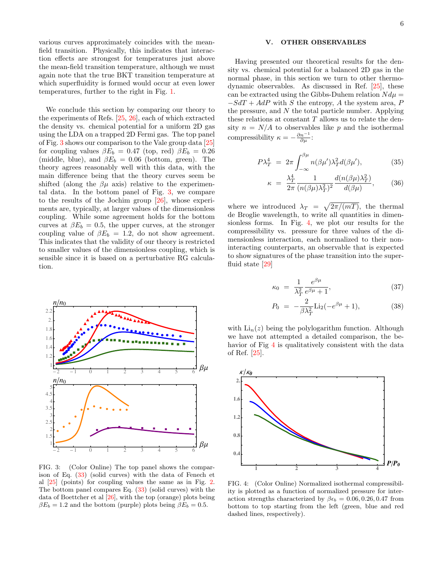various curves approximately coincides with the meanfield transition. Physically, this indicates that interaction effects are strongest for temperatures just above the mean-field transition temperature, although we must again note that the true BKT transition temperature at which superfluidity is formed would occur at even lower temperatures, further to the right in Fig. [1.](#page-2-2)

We conclude this section by comparing our theory to the experiments of Refs. [\[25,](#page-8-24) [26\]](#page-8-25), each of which extracted the density vs. chemical potential for a uniform 2D gas using the LDA on a trapped 2D Fermi gas. The top panel of Fig. [3](#page-7-1) shows our comparison to the Vale group data [\[25\]](#page-8-24) for coupling values  $\beta E_b = 0.47$  (top, red)  $\beta E_b = 0.26$ (middle, blue), and  $\beta E_b = 0.06$  (bottom, green). The theory agrees reasonably well with this data, with the main difference being that the theory curves seem be shifted (along the  $\beta\mu$  axis) relative to the experimental data. In the bottom panel of Fig. [3,](#page-7-1) we compare to the results of the Jochim group [\[26\]](#page-8-25), whose experiments are, typically, at larger values of the dimensionless coupling. While some agreement holds for the bottom curves at  $\beta E_b = 0.5$ , the upper curves, at the stronger coupling value of  $\beta E_b = 1.2$ , do not show agreement. This indicates that the validity of our theory is restricted to smaller values of the dimensionless coupling, which is sensible since it is based on a perturbative RG calculation.



<span id="page-7-1"></span>FIG. 3: (Color Online) The top panel shows the comparison of Eq. [\(33\)](#page-6-0) (solid curves) with the data of Fenech et al [\[25\]](#page-8-24) (points) for coupling values the same as in Fig. [2.](#page-4-4) The bottom panel compares Eq. [\(33\)](#page-6-0) (solid curves) with the data of Boettcher et al [\[26\]](#page-8-25), with the top (orange) plots being  $\beta E_b = 1.2$  and the bottom (purple) plots being  $\beta E_b = 0.5$ .

#### <span id="page-7-0"></span>V. OTHER OBSERVABLES

Having presented our theoretical results for the density vs. chemical potential for a balanced 2D gas in the normal phase, in this section we turn to other thermodynamic observables. As discussed in Ref. [\[25\]](#page-8-24), these can be extracted using the Gibbs-Duhem relation  $N d\mu =$  $-SdT + AdP$  with S the entropy, A the system area, P the pressure, and  $N$  the total particle number. Applying these relations at constant  $T$  allows us to relate the density  $n = N/A$  to observables like p and the isothermal compressibility  $\kappa = -\frac{\partial n^{-1}}{\partial \mu}$ :

$$
P\lambda_T^4 = 2\pi \int_{-\infty}^{\beta\mu} n(\beta\mu')\lambda_T^2 d(\beta\mu'), \tag{35}
$$

$$
\kappa = \frac{\lambda_T^4}{2\pi} \frac{1}{(n(\beta\mu)\lambda_T^2)^2} \frac{d(n(\beta\mu)\lambda_T^2)}{d(\beta\mu)},
$$
(36)

where we introduced  $\lambda_T = \sqrt{2\pi/(mT)}$ , the thermal de Broglie wavelength, to write all quantities in dimensionless forms. In Fig. [4,](#page-7-2) we plot our results for the compressibility vs. pressure for three values of the dimensionless interaction, each normalized to their noninteracting counterparts, an observable that is expected to show signatures of the phase transition into the superfluid state [\[29\]](#page-8-30)

$$
\kappa_0 = \frac{1}{\lambda_T^2} \frac{e^{\beta \mu}}{e^{\beta \mu} + 1},\tag{37}
$$

$$
P_0 = -\frac{2}{\beta \lambda_T^2} \text{Li}_2(-e^{\beta \mu} + 1), \tag{38}
$$

with  $\text{Li}_n(z)$  being the polylogarithm function. Although we have not attempted a detailed comparison, the be-havior of Fig [4](#page-7-2) is qualitatively consistent with the data of Ref. [\[25\]](#page-8-24).



<span id="page-7-2"></span>FIG. 4: (Color Online) Normalized isothermal compressibility is plotted as a function of normalized pressure for interaction strengths characterized by  $\beta \epsilon_b = 0.06, 0.26, 0.47$  from bottom to top starting from the left (green, blue and red dashed lines, respectively).